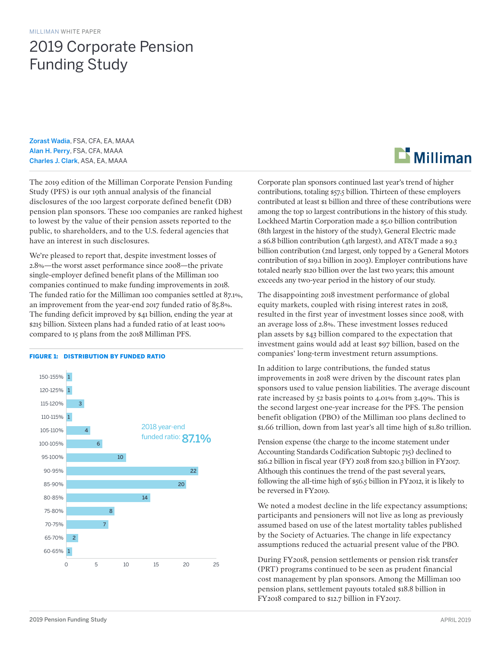# 2019 Corporate Pension Funding Study

Zorast Wadia, FSA, CFA, EA, MAAA Alan H. Perry, FSA, CFA, MAAA Charles J. Clark, ASA, EA, MAAA

The 2019 edition of the Milliman Corporate Pension Funding Study (PFS) is our 19th annual analysis of the financial disclosures of the 100 largest corporate defined benefit (DB) pension plan sponsors. These 100 companies are ranked highest to lowest by the value of their pension assets reported to the public, to shareholders, and to the U.S. federal agencies that have an interest in such disclosures.

We're pleased to report that, despite investment losses of 2.8%—the worst asset performance since 2008—the private single-employer defined benefit plans of the Milliman 100 companies continued to make funding improvements in 2018. The funded ratio for the Milliman 100 companies settled at 87.1%, an improvement from the year-end 2017 funded ratio of 85.8%. The funding deficit improved by \$41 billion, ending the year at \$215 billion. Sixteen plans had a funded ratio of at least 100% compared to 15 plans from the 2018 Milliman PFS.



#### FIGURE 1: DISTRIBUTION BY FUNDED RATIO

# $\mathbf{\mathbf{\Sigma}}$  Milliman

Corporate plan sponsors continued last year's trend of higher contributions, totaling \$57.5 billion. Thirteen of these employers contributed at least \$1 billion and three of these contributions were among the top 10 largest contributions in the history of this study. Lockheed Martin Corporation made a \$5.0 billion contribution (8th largest in the history of the study), General Electric made a \$6.8 billion contribution (4th largest), and AT&T made a \$9.3 billion contribution (2nd largest, only topped by a General Motors contribution of \$19.1 billion in 2003). Employer contributions have totaled nearly \$120 billion over the last two years; this amount exceeds any two-year period in the history of our study.

The disappointing 2018 investment performance of global equity markets, coupled with rising interest rates in 2018, resulted in the first year of investment losses since 2008, with an average loss of 2.8%. These investment losses reduced plan assets by \$43 billion compared to the expectation that investment gains would add at least \$97 billion, based on the companies' long-term investment return assumptions.

In addition to large contributions, the funded status improvements in 2018 were driven by the discount rates plan sponsors used to value pension liabilities. The average discount rate increased by 52 basis points to 4.01% from 3.49%. This is the second largest one-year increase for the PFS. The pension benefit obligation (PBO) of the Milliman 100 plans declined to \$1.66 trillion, down from last year's all time high of \$1.80 trillion.

Pension expense (the charge to the income statement under Accounting Standards Codification Subtopic 715) declined to \$16.2 billion in fiscal year (FY) 2018 from \$20.3 billion in FY2017. Although this continues the trend of the past several years, following the all-time high of \$56.5 billion in FY2012, it is likely to be reversed in FY2019.

We noted a modest decline in the life expectancy assumptions; participants and pensioners will not live as long as previously assumed based on use of the latest mortality tables published by the Society of Actuaries. The change in life expectancy assumptions reduced the actuarial present value of the PBO.

During FY2018, pension settlements or pension risk transfer (PRT) programs continued to be seen as prudent financial cost management by plan sponsors. Among the Milliman 100 pension plans, settlement payouts totaled \$18.8 billion in FY2018 compared to \$12.7 billion in FY2017.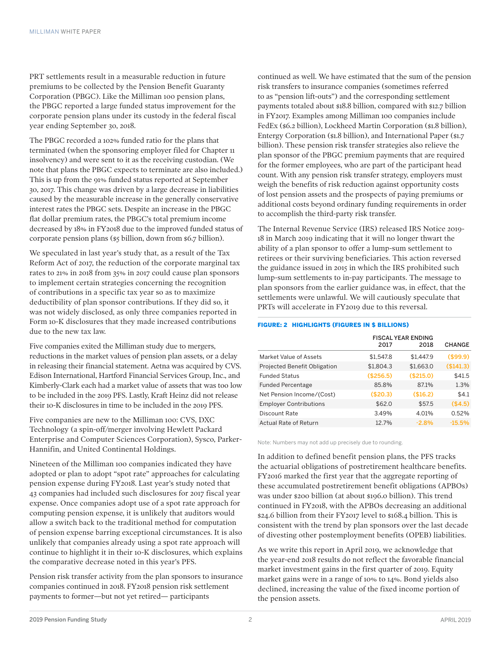PRT settlements result in a measurable reduction in future premiums to be collected by the Pension Benefit Guaranty Corporation (PBGC). Like the Milliman 100 pension plans, the PBGC reported a large funded status improvement for the corporate pension plans under its custody in the federal fiscal year ending September 30, 2018.

The PBGC recorded a 102% funded ratio for the plans that terminated (when the sponsoring employer filed for Chapter 11 insolvency) and were sent to it as the receiving custodian. (We note that plans the PBGC expects to terminate are also included.) This is up from the 91% funded status reported at September 30, 2017. This change was driven by a large decrease in liabilities caused by the measurable increase in the generally conservative interest rates the PBGC sets. Despite an increase in the PBGC flat dollar premium rates, the PBGC's total premium income decreased by 18% in FY2018 due to the improved funded status of corporate pension plans (\$5 billion, down from \$6.7 billion).

We speculated in last year's study that, as a result of the Tax Reform Act of 2017, the reduction of the corporate marginal tax rates to 21% in 2018 from 35% in 2017 could cause plan sponsors to implement certain strategies concerning the recognition of contributions in a specific tax year so as to maximize deductibility of plan sponsor contributions. If they did so, it was not widely disclosed, as only three companies reported in Form 10-K disclosures that they made increased contributions due to the new tax law.

Five companies exited the Milliman study due to mergers, reductions in the market values of pension plan assets, or a delay in releasing their financial statement. Aetna was acquired by CVS. Edison International, Hartford Financial Services Group, Inc., and Kimberly-Clark each had a market value of assets that was too low to be included in the 2019 PFS. Lastly, Kraft Heinz did not release their 10-K disclosures in time to be included in the 2019 PFS.

Five companies are new to the Milliman 100: CVS, DXC Technology (a spin-off/merger involving Hewlett Packard Enterprise and Computer Sciences Corporation), Sysco, Parker-Hannifin, and United Continental Holdings.

Nineteen of the Milliman 100 companies indicated they have adopted or plan to adopt "spot rate" approaches for calculating pension expense during FY2018. Last year's study noted that 43 companies had included such disclosures for 2017 fiscal year expense. Once companies adopt use of a spot rate approach for computing pension expense, it is unlikely that auditors would allow a switch back to the traditional method for computation of pension expense barring exceptional circumstances. It is also unlikely that companies already using a spot rate approach will continue to highlight it in their 10-K disclosures, which explains the comparative decrease noted in this year's PFS.

Pension risk transfer activity from the plan sponsors to insurance companies continued in 2018. FY2018 pension risk settlement payments to former—but not yet retired— participants

continued as well. We have estimated that the sum of the pension risk transfers to insurance companies (sometimes referred to as "pension lift-outs") and the corresponding settlement payments totaled about \$18.8 billion, compared with \$12.7 billion in FY2017. Examples among Milliman 100 companies include FedEx (\$6.2 billion), Lockheed Martin Corporation (\$1.8 billion), Entergy Corporation (\$1.8 billion), and International Paper (\$1.7 billion). These pension risk transfer strategies also relieve the plan sponsor of the PBGC premium payments that are required for the former employees, who are part of the participant head count. With any pension risk transfer strategy, employers must weigh the benefits of risk reduction against opportunity costs of lost pension assets and the prospects of paying premiums or additional costs beyond ordinary funding requirements in order to accomplish the third-party risk transfer.

The Internal Revenue Service (IRS) released IRS Notice 2019- 18 in March 2019 indicating that it will no longer thwart the ability of a plan sponsor to offer a lump-sum settlement to retirees or their surviving beneficiaries. This action reversed the guidance issued in 2015 in which the IRS prohibited such lump-sum settlements to in-pay participants. The message to plan sponsors from the earlier guidance was, in effect, that the settlements were unlawful. We will cautiously speculate that PRTs will accelerate in FY2019 due to this reversal.

### FIGURE: 2 HIGHLIGHTS (FIGURES IN \$ BILLIONS)

|                                     | 2017      | <b>FISCAL YEAR ENDING</b><br>2018 | <b>CHANGE</b> |
|-------------------------------------|-----------|-----------------------------------|---------------|
| Market Value of Assets              | \$1.547.8 | \$1,447.9                         | (\$99.9)      |
| <b>Projected Benefit Obligation</b> | \$1,804.3 | \$1,663.0                         | (\$141.3)     |
| <b>Funded Status</b>                | (\$256.5) | (\$215.0)                         | \$41.5        |
| <b>Funded Percentage</b>            | 85.8%     | 871%                              | 1.3%          |
| Net Pension Income/(Cost)           | (\$20.3)  | (\$16.2)                          | \$4.1         |
| <b>Employer Contributions</b>       | \$62.0    | \$57.5                            | (\$4.5)       |
| Discount Rate                       | 3.49%     | 4.01%                             | 0.52%         |
| Actual Rate of Return               | 12.7%     | $-2.8%$                           | $-15.5%$      |

Note: Numbers may not add up precisely due to rounding.

In addition to defined benefit pension plans, the PFS tracks the actuarial obligations of postretirement healthcare benefits. FY2016 marked the first year that the aggregate reporting of these accumulated postretirement benefit obligations (APBOs) was under \$200 billion (at about \$196.0 billion). This trend continued in FY2018, with the APBOs decreasing an additional \$24.6 billion from their FY2017 level to \$168.4 billion. This is consistent with the trend by plan sponsors over the last decade of divesting other postemployment benefits (OPEB) liabilities.

As we write this report in April 2019, we acknowledge that the year-end 2018 results do not reflect the favorable financial market investment gains in the first quarter of 2019. Equity market gains were in a range of 10% to 14%. Bond yields also declined, increasing the value of the fixed income portion of the pension assets.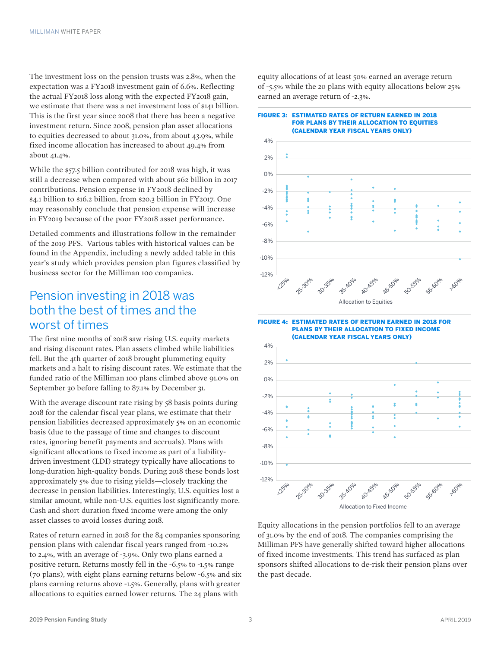The investment loss on the pension trusts was 2.8%, when the expectation was a FY2018 investment gain of 6.6%. Reflecting the actual FY2018 loss along with the expected FY2018 gain, we estimate that there was a net investment loss of \$141 billion. This is the first year since 2008 that there has been a negative investment return. Since 2008, pension plan asset allocations to equities decreased to about 31.0%, from about 43.9%, while fixed income allocation has increased to about 49.4% from about 41.4%.

While the \$57.5 billion contributed for 2018 was high, it was still a decrease when compared with about \$62 billion in 2017 contributions. Pension expense in FY2018 declined by \$4.1 billion to \$16.2 billion, from \$20.3 billion in FY2017. One may reasonably conclude that pension expense will increase in FY2019 because of the poor FY2018 asset performance.

Detailed comments and illustrations follow in the remainder of the 2019 PFS. Various tables with historical values can be found in the Appendix, including a newly added table in this year's study which provides pension plan figures classified by business sector for the Milliman 100 companies.

### Pension investing in 2018 was both the best of times and the worst of times

The first nine months of 2018 saw rising U.S. equity markets and rising discount rates. Plan assets climbed while liabilities fell. But the 4th quarter of 2018 brought plummeting equity markets and a halt to rising discount rates. We estimate that the funded ratio of the Milliman 100 plans climbed above 91.0% on September 30 before falling to 87.1% by December 31.

With the average discount rate rising by 58 basis points during 2018 for the calendar fiscal year plans, we estimate that their pension liabilities decreased approximately 5% on an economic basis (due to the passage of time and changes to discount rates, ignoring benefit payments and accruals). Plans with significant allocations to fixed income as part of a liabilitydriven investment (LDI) strategy typically have allocations to long-duration high-quality bonds. During 2018 these bonds lost approximately 5% due to rising yields—closely tracking the decrease in pension liabilities. Interestingly, U.S. equities lost a similar amount, while non-U.S. equities lost significantly more. Cash and short duration fixed income were among the only asset classes to avoid losses during 2018.

Rates of return earned in 2018 for the 84 companies sponsoring pension plans with calendar fiscal years ranged from -10.2% to 2.4%, with an average of -3.9%. Only two plans earned a positive return. Returns mostly fell in the -6.5% to -1.5% range (70 plans), with eight plans earning returns below -6.5% and six plans earning returns above -1.5%. Generally, plans with greater allocations to equities earned lower returns. The 24 plans with

equity allocations of at least 50% earned an average return of -5.5% while the 20 plans with equity allocations below 25% earned an average return of -2.3%.

#### FIGURE 3: ESTIMATED RATES OF RETURN EARNED IN 2018 FOR PLANS BY THEIR ALLOCATION TO EQUITIES (CALENDAR YEAR FISCAL YEARS ONLY)



FIGURE 4: ESTIMATED RATES OF RETURN EARNED IN 2018 FOR PLANS BY THEIR ALLOCATION TO FIXED INCOME (CALENDAR YEAR FISCAL YEARS ONLY)



Equity allocations in the pension portfolios fell to an average of 31.0% by the end of 2018. The companies comprising the Milliman PFS have generally shifted toward higher allocations of fixed income investments. This trend has surfaced as plan sponsors shifted allocations to de-risk their pension plans over the past decade.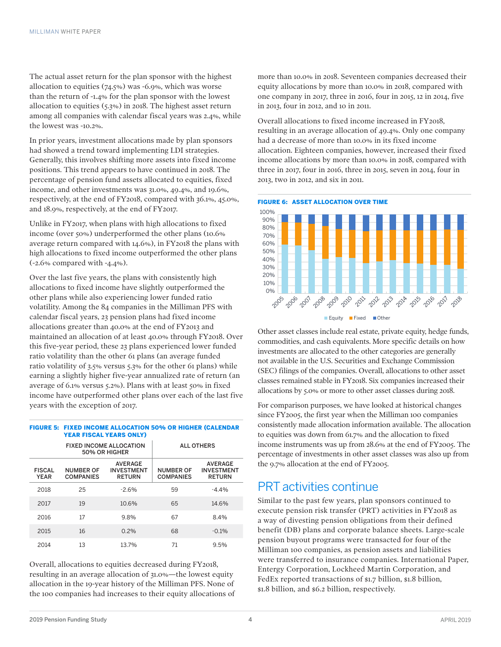The actual asset return for the plan sponsor with the highest allocation to equities (74.5%) was -6.9%, which was worse than the return of -1.4% for the plan sponsor with the lowest allocation to equities (5.3%) in 2018. The highest asset return among all companies with calendar fiscal years was 2.4%, while the lowest was -10.2%.

In prior years, investment allocations made by plan sponsors had showed a trend toward implementing LDI strategies. Generally, this involves shifting more assets into fixed income positions. This trend appears to have continued in 2018. The percentage of pension fund assets allocated to equities, fixed income, and other investments was 31.0%, 49.4%, and 19.6%, respectively, at the end of FY2018, compared with 36.1%, 45.0%, and 18.9%, respectively, at the end of FY2017.

Unlike in FY2017, when plans with high allocations to fixed income (over 50%) underperformed the other plans (10.6% average return compared with 14.6%), in FY2018 the plans with high allocations to fixed income outperformed the other plans (-2.6% compared with -4.4%).

Over the last five years, the plans with consistently high allocations to fixed income have slightly outperformed the other plans while also experiencing lower funded ratio volatility. Among the 84 companies in the Milliman PFS with calendar fiscal years, 23 pension plans had fixed income allocations greater than 40.0% at the end of FY2013 and maintained an allocation of at least 40.0% through FY2018. Over this five-year period, these 23 plans experienced lower funded ratio volatility than the other 61 plans (an average funded ratio volatility of 3.5% versus 5.3% for the other 61 plans) while earning a slightly higher five-year annualized rate of return (an average of 6.1% versus 5.2%). Plans with at least 50% in fixed income have outperformed other plans over each of the last five years with the exception of 2017.

|                              | <b>FIXED INCOME ALLOCATION</b><br>50% OR HIGHER | <b>ALL OTHERS</b>                                    |                                      |                                                      |  |
|------------------------------|-------------------------------------------------|------------------------------------------------------|--------------------------------------|------------------------------------------------------|--|
| <b>FISCAL</b><br><b>YEAR</b> | <b>NUMBER OF</b><br><b>COMPANIES</b>            | <b>AVERAGE</b><br><b>INVESTMENT</b><br><b>RETURN</b> | <b>NUMBER OF</b><br><b>COMPANIES</b> | <b>AVERAGE</b><br><b>INVESTMENT</b><br><b>RETURN</b> |  |
| 2018                         | 25                                              | $-2.6%$                                              | 59                                   | $-4.4%$                                              |  |
| 2017                         | 19                                              | 10.6%                                                | 65                                   | 14.6%                                                |  |
| 2016                         | 17                                              | 9.8%                                                 | 67                                   | 8.4%                                                 |  |
| 2015                         | 16                                              | 0.2%                                                 | 68                                   | $-0.1%$                                              |  |
| 2014                         | 13                                              | 13.7%                                                | 71                                   | 9.5%                                                 |  |

#### FIGURE 5: FIXED INCOME ALLOCATION 50% OR HIGHER (CALENDAR YEAR FISCAL YEARS ONLY)

Overall, allocations to equities decreased during FY2018, resulting in an average allocation of 31.0%—the lowest equity allocation in the 19-year history of the Milliman PFS. None of the 100 companies had increases to their equity allocations of more than 10.0% in 2018. Seventeen companies decreased their equity allocations by more than 10.0% in 2018, compared with one company in 2017, three in 2016, four in 2015, 12 in 2014, five in 2013, four in 2012, and 10 in 2011.

Overall allocations to fixed income increased in FY2018, resulting in an average allocation of 49.4%. Only one company had a decrease of more than 10.0% in its fixed income allocation. Eighteen companies, however, increased their fixed income allocations by more than 10.0% in 2018, compared with three in 2017, four in 2016, three in 2015, seven in 2014, four in 2013, two in 2012, and six in 2011.





Other asset classes include real estate, private equity, hedge funds, commodities, and cash equivalents. More specific details on how investments are allocated to the other categories are generally not available in the U.S. Securities and Exchange Commission (SEC) filings of the companies. Overall, allocations to other asset classes remained stable in FY2018. Six companies increased their allocations by 5.0% or more to other asset classes during 2018.

For comparison purposes, we have looked at historical changes since FY2005, the first year when the Milliman 100 companies consistently made allocation information available. The allocation to equities was down from 61.7% and the allocation to fixed income instruments was up from 28.6% at the end of FY2005. The percentage of investments in other asset classes was also up from the 9.7% allocation at the end of FY2005.

### PRT activities continue

Similar to the past few years, plan sponsors continued to execute pension risk transfer (PRT) activities in FY2018 as a way of divesting pension obligations from their defined benefit (DB) plans and corporate balance sheets. Large-scale pension buyout programs were transacted for four of the Milliman 100 companies, as pension assets and liabilities were transferred to insurance companies. International Paper, Entergy Corporation, Lockheed Martin Corporation, and FedEx reported transactions of \$1.7 billion, \$1.8 billion, \$1.8 billion, and \$6.2 billion, respectively.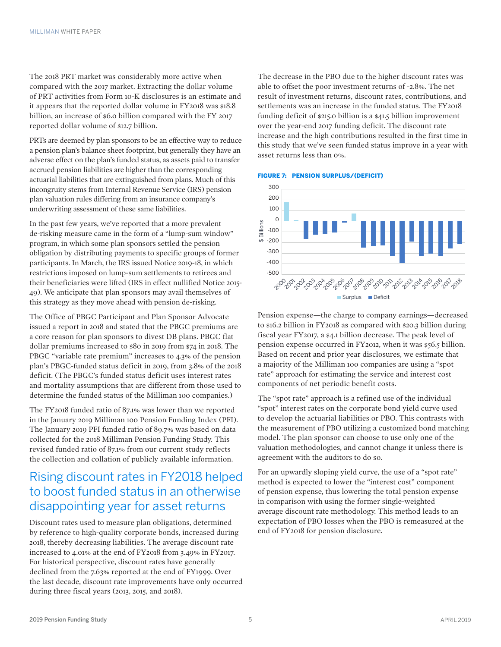The 2018 PRT market was considerably more active when compared with the 2017 market. Extracting the dollar volume of PRT activities from Form 10-K disclosures is an estimate and it appears that the reported dollar volume in FY2018 was \$18.8 billion, an increase of \$6.0 billion compared with the FY 2017 reported dollar volume of \$12.7 billion.

PRTs are deemed by plan sponsors to be an effective way to reduce a pension plan's balance sheet footprint, but generally they have an adverse effect on the plan's funded status, as assets paid to transfer accrued pension liabilities are higher than the corresponding actuarial liabilities that are extinguished from plans. Much of this incongruity stems from Internal Revenue Service (IRS) pension plan valuation rules differing from an insurance company's underwriting assessment of these same liabilities.

In the past few years, we've reported that a more prevalent de-risking measure came in the form of a "lump-sum window" program, in which some plan sponsors settled the pension obligation by distributing payments to specific groups of former participants. In March, the IRS issued Notice 2019-18, in which restrictions imposed on lump-sum settlements to retirees and their beneficiaries were lifted (IRS in effect nullified Notice 2015- 49). We anticipate that plan sponsors may avail themselves of this strategy as they move ahead with pension de-risking.

The Office of PBGC Participant and Plan Sponsor Advocate issued a report in 2018 and stated that the PBGC premiums are a core reason for plan sponsors to divest DB plans. PBGC flat dollar premiums increased to \$80 in 2019 from \$74 in 2018. The PBGC "variable rate premium" increases to 4.3% of the pension plan's PBGC-funded status deficit in 2019, from 3.8% of the 2018 deficit. (The PBGC's funded status deficit uses interest rates and mortality assumptions that are different from those used to determine the funded status of the Milliman 100 companies.)

The FY2018 funded ratio of 87.1% was lower than we reported in the January 2019 Milliman 100 Pension Funding Index (PFI). The January 2019 PFI funded ratio of 89.7% was based on data collected for the 2018 Milliman Pension Funding Study. This revised funded ratio of 87.1% from our current study reflects the collection and collation of publicly available information.

## Rising discount rates in FY2018 helped to boost funded status in an otherwise disappointing year for asset returns

Discount rates used to measure plan obligations, determined by reference to high-quality corporate bonds, increased during 2018, thereby decreasing liabilities. The average discount rate increased to 4.01% at the end of FY2018 from 3.49% in FY2017. For historical perspective, discount rates have generally declined from the 7.63% reported at the end of FY1999. Over the last decade, discount rate improvements have only occurred during three fiscal years (2013, 2015, and 2018).

The decrease in the PBO due to the higher discount rates was able to offset the poor investment returns of -2.8%. The net result of investment returns, discount rates, contributions, and settlements was an increase in the funded status. The FY2018 funding deficit of \$215.0 billion is a \$41.5 billion improvement over the year-end 2017 funding deficit. The discount rate increase and the high contributions resulted in the first time in this study that we've seen funded status improve in a year with asset returns less than 0%.





Pension expense—the charge to company earnings—decreased to \$16.2 billion in FY2018 as compared with \$20.3 billion during fiscal year FY2017, a \$4.1 billion decrease. The peak level of pension expense occurred in FY2012, when it was \$56.5 billion. Based on recent and prior year disclosures, we estimate that a majority of the Milliman 100 companies are using a "spot rate" approach for estimating the service and interest cost components of net periodic benefit costs.

The "spot rate" approach is a refined use of the individual "spot" interest rates on the corporate bond yield curve used to develop the actuarial liabilities or PBO. This contrasts with the measurement of PBO utilizing a customized bond matching model. The plan sponsor can choose to use only one of the valuation methodologies, and cannot change it unless there is agreement with the auditors to do so.

For an upwardly sloping yield curve, the use of a "spot rate" method is expected to lower the "interest cost" component of pension expense, thus lowering the total pension expense in comparison with using the former single-weighted average discount rate methodology. This method leads to an expectation of PBO losses when the PBO is remeasured at the end of FY2018 for pension disclosure.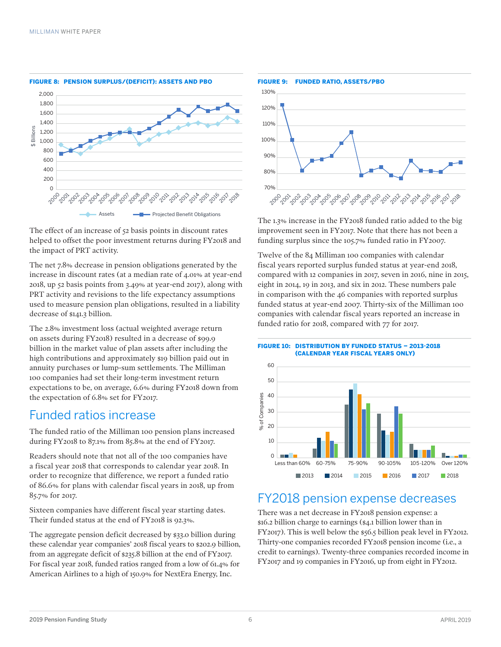

FIGURE 8: PENSION SURPLUS/(DEFICIT): ASSETS AND PBO

The effect of an increase of 52 basis points in discount rates helped to offset the poor investment returns during FY2018 and the impact of PRT activity.

The net 7.8% decrease in pension obligations generated by the increase in discount rates (at a median rate of 4.01% at year-end 2018, up 52 basis points from 3.49% at year-end 2017), along with PRT activity and revisions to the life expectancy assumptions used to measure pension plan obligations, resulted in a liability decrease of \$141.3 billion.

The 2.8% investment loss (actual weighted average return on assets during FY2018) resulted in a decrease of \$99.9 billion in the market value of plan assets after including the high contributions and approximately \$19 billion paid out in annuity purchases or lump-sum settlements. The Milliman 100 companies had set their long-term investment return expectations to be, on average, 6.6% during FY2018 down from the expectation of 6.8% set for FY2017.

### Funded ratios increase

The funded ratio of the Milliman 100 pension plans increased during FY2018 to 87.1% from 85.8% at the end of FY2017.

Readers should note that not all of the 100 companies have a fiscal year 2018 that corresponds to calendar year 2018. In order to recognize that difference, we report a funded ratio of 86.6% for plans with calendar fiscal years in 2018, up from 85.7% for 2017.

Sixteen companies have different fiscal year starting dates. Their funded status at the end of FY2018 is 92.3%.

The aggregate pension deficit decreased by \$33.0 billion during these calendar year companies' 2018 fiscal years to \$202.9 billion, from an aggregate deficit of \$235.8 billion at the end of FY2017. For fiscal year 2018, funded ratios ranged from a low of 61.4% for American Airlines to a high of 150.9% for NextEra Energy, Inc.



The 1.3% increase in the FY2018 funded ratio added to the big improvement seen in FY2017. Note that there has not been a funding surplus since the 105.7% funded ratio in FY2007.

Twelve of the 84 Milliman 100 companies with calendar fiscal years reported surplus funded status at year-end 2018, compared with 12 companies in 2017, seven in 2016, nine in 2015, eight in 2014, 19 in 2013, and six in 2012. These numbers pale in comparison with the 46 companies with reported surplus funded status at year-end 2007. Thirty-six of the Milliman 100 companies with calendar fiscal years reported an increase in funded ratio for 2018, compared with 77 for 2017.

FIGURE 10: DISTRIBUTION BY FUNDED STATUS – 2013-2018 (CALENDAR YEAR FISCAL YEARS ONLY)



### FY2018 pension expense decreases

There was a net decrease in FY2018 pension expense: a \$16.2 billion charge to earnings (\$4.1 billion lower than in FY2017). This is well below the \$56.5 billion peak level in FY2012. Thirty-one companies recorded FY2018 pension income (i.e., a credit to earnings). Twenty-three companies recorded income in FY2017 and 19 companies in FY2016, up from eight in FY2012.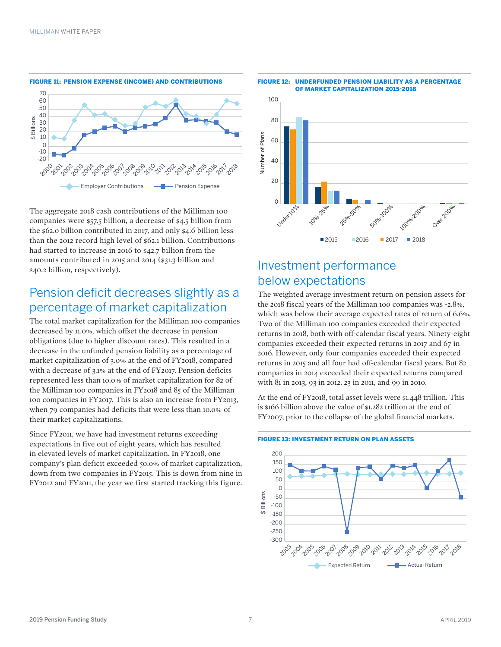

The aggregate 2018 cash contributions of the Milliman 100 companies were \$57.5 billion, a decrease of \$4.5 billion from the \$62.0 billion contributed in 2017, and only \$4.6 billion less than the 2012 record high level of \$62.1 billion. Contributions had started to increase in 2016 to \$42.7 billion from the amounts contributed in 2015 and 2014 (\$31.3 billion and \$40.2 billion, respectively).

### Pension deficit decreases slightly as a percentage of market capitalization

The total market capitalization for the Milliman 100 companies decreased by 11.0%, which offset the decrease in pension obligations (due to higher discount rates). This resulted in a decrease in the unfunded pension liability as a percentage of market capitalization of 3.0% at the end of FY2018, compared with a decrease of 3.1% at the end of FY2017. Pension deficits represented less than 10.0% of market capitalization for 82 of the Milliman 100 companies in FY2018 and 85 of the Milliman 100 companies in FY2017. This is also an increase from FY2013, when 79 companies had deficits that were less than 10.0% of their market capitalizations.

Since FY2011, we have had investment returns exceeding expectations in five out of eight years, which has resulted in elevated levels of market capitalization. In FY2018, one company's plan deficit exceeded 50.0% of market capitalization, down from two companies in FY2015. This is down from nine in FY2012 and FY2011, the year we first started tracking this figure.



## Investment performance below expectations

The weighted average investment return on pension assets for the 2018 fiscal years of the Milliman 100 companies was -2.8%, which was below their average expected rates of return of 6.6%. Two of the Milliman 100 companies exceeded their expected returns in 2018, both with off-calendar fiscal years. Ninety-eight companies exceeded their expected returns in 2017 and 67 in 2016. However, only four companies exceeded their expected returns in 2015 and all four had off-calendar fiscal years. But 82 companies in 2014 exceeded their expected returns compared with 81 in 2013, 93 in 2012, 23 in 2011, and 99 in 2010.

At the end of FY2018, total asset levels were \$1.448 trillion. This is \$166 billion above the value of \$1.282 trillion at the end of FY2007, prior to the collapse of the global financial markets.

#### FIGURE 13: INVESTMENT RETURN ON PLAN ASSETS



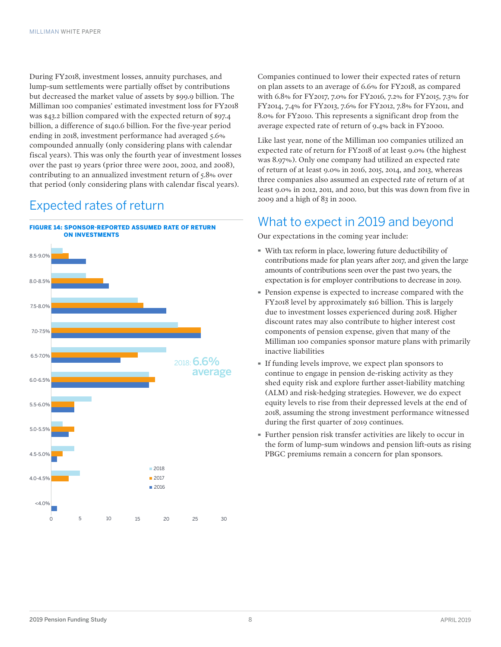During FY2018, investment losses, annuity purchases, and lump-sum settlements were partially offset by contributions but decreased the market value of assets by \$99.9 billion. The Milliman 100 companies' estimated investment loss for FY2018 was \$43.2 billion compared with the expected return of \$97.4 billion, a difference of \$140.6 billion. For the five-year period ending in 2018, investment performance had averaged 5.6% compounded annually (only considering plans with calendar fiscal years). This was only the fourth year of investment losses over the past 19 years (prior three were 2001, 2002, and 2008), contributing to an annualized investment return of 5.8% over that period (only considering plans with calendar fiscal years).

## Expected rates of return



Companies continued to lower their expected rates of return on plan assets to an average of 6.6% for FY2018, as compared with 6.8% for FY2017, 7.0% for FY2016, 7.2% for FY2015, 7.3% for FY2014, 7.4% for FY2013, 7.6% for FY2012, 7.8% for FY2011, and 8.0% for FY2010. This represents a significant drop from the average expected rate of return of 9.4% back in FY2000.

Like last year, none of the Milliman 100 companies utilized an expected rate of return for FY2018 of at least 9.0% (the highest was 8.97%). Only one company had utilized an expected rate of return of at least 9.0% in 2016, 2015, 2014, and 2013, whereas three companies also assumed an expected rate of return of at least 9.0% in 2012, 2011, and 2010, but this was down from five in 2009 and a high of 83 in 2000.

### What to expect in 2019 and beyond

Our expectations in the coming year include:

- · With tax reform in place, lowering future deductibility of contributions made for plan years after 2017, and given the large amounts of contributions seen over the past two years, the expectation is for employer contributions to decrease in 2019.
- · Pension expense is expected to increase compared with the FY2018 level by approximately \$16 billion. This is largely due to investment losses experienced during 2018. Higher discount rates may also contribute to higher interest cost components of pension expense, given that many of the Milliman 100 companies sponsor mature plans with primarily inactive liabilities
- · If funding levels improve, we expect plan sponsors to continue to engage in pension de-risking activity as they shed equity risk and explore further asset-liability matching (ALM) and risk-hedging strategies. However, we do expect equity levels to rise from their depressed levels at the end of 2018, assuming the strong investment performance witnessed during the first quarter of 2019 continues.
- · Further pension risk transfer activities are likely to occur in the form of lump-sum windows and pension lift-outs as rising PBGC premiums remain a concern for plan sponsors.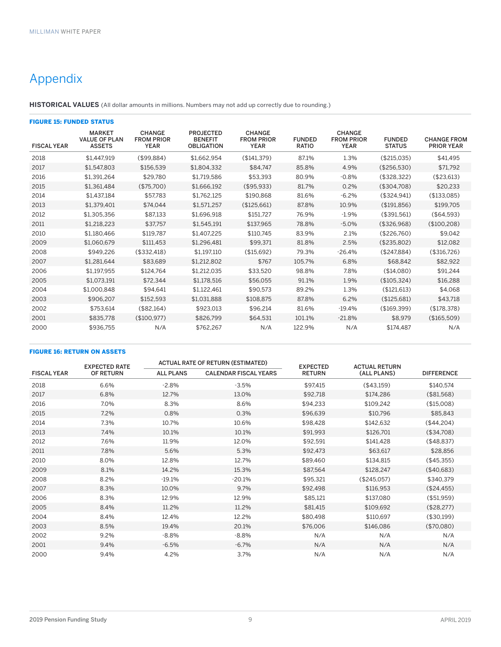# Appendix

**HISTORICAL VALUES** (All dollar amounts in millions. Numbers may not add up correctly due to rounding.)

| <b>FIGURE 15: FUNDED STATUS</b> |                                                        |                                                   |                                                         |                                                   |                               |                                                   |                                |                                         |  |  |  |
|---------------------------------|--------------------------------------------------------|---------------------------------------------------|---------------------------------------------------------|---------------------------------------------------|-------------------------------|---------------------------------------------------|--------------------------------|-----------------------------------------|--|--|--|
| <b>FISCAL YEAR</b>              | <b>MARKET</b><br><b>VALUE OF PLAN</b><br><b>ASSETS</b> | <b>CHANGE</b><br><b>FROM PRIOR</b><br><b>YEAR</b> | <b>PROJECTED</b><br><b>BENEFIT</b><br><b>OBLIGATION</b> | <b>CHANGE</b><br><b>FROM PRIOR</b><br><b>YEAR</b> | <b>FUNDED</b><br><b>RATIO</b> | <b>CHANGE</b><br><b>FROM PRIOR</b><br><b>YEAR</b> | <b>FUNDED</b><br><b>STATUS</b> | <b>CHANGE FROM</b><br><b>PRIOR YEAR</b> |  |  |  |
| 2018                            | \$1,447,919                                            | (\$99,884)                                        | \$1,662,954                                             | (\$141,379)                                       | 87.1%                         | 1.3%                                              | (\$215,035)                    | \$41.495                                |  |  |  |
| 2017                            | \$1.547.803                                            | \$156.539                                         | \$1.804.332                                             | \$84.747                                          | 85.8%                         | 4.9%                                              | (\$256,530)                    | \$71,792                                |  |  |  |
| 2016                            | \$1.391.264                                            | \$29.780                                          | \$1.719.586                                             | \$53.393                                          | 80.9%                         | $-0.8%$                                           | (\$328.322)                    | (\$23,613)                              |  |  |  |
| 2015                            | \$1,361,484                                            | (\$75,700)                                        | \$1,666,192                                             | (\$95,933)                                        | 81.7%                         | 0.2%                                              | (\$304,708)                    | \$20,233                                |  |  |  |
| 2014                            | \$1,437,184                                            | \$57,783                                          | \$1,762,125                                             | \$190,868                                         | 81.6%                         | $-6.2%$                                           | (\$324,941)                    | (\$133,085)                             |  |  |  |
| 2013                            | \$1,379,401                                            | \$74.044                                          | \$1,571,257                                             | (\$125,661)                                       | 87.8%                         | 10.9%                                             | (\$191,856)                    | \$199,705                               |  |  |  |
| 2012                            | \$1,305,356                                            | \$87,133                                          | \$1,696,918                                             | \$151,727                                         | 76.9%                         | $-1.9%$                                           | (\$391,561)                    | (\$64,593)                              |  |  |  |
| 2011                            | \$1.218.223                                            | \$37,757                                          | \$1,545,191                                             | \$137,965                                         | 78.8%                         | $-5.0%$                                           | (\$326,968)                    | (\$100,208)                             |  |  |  |
| 2010                            | \$1.180.466                                            | \$119.787                                         | \$1,407.225                                             | \$110.745                                         | 83.9%                         | 2.1%                                              | (\$226,760)                    | \$9,042                                 |  |  |  |
| 2009                            | \$1.060.679                                            | \$111.453                                         | \$1,296,481                                             | \$99.371                                          | 81.8%                         | 2.5%                                              | (\$235,802)                    | \$12,082                                |  |  |  |
| 2008                            | \$949.226                                              | (\$332.418)                                       | \$1.197.110                                             | (\$15.692)                                        | 79.3%                         | $-26.4%$                                          | (\$247.884)                    | (\$316,726)                             |  |  |  |
| 2007                            | \$1,281,644                                            | \$83,689                                          | \$1,212,802                                             | \$767                                             | 105.7%                        | 6.8%                                              | \$68,842                       | \$82,922                                |  |  |  |
| 2006                            | \$1.197.955                                            | \$124,764                                         | \$1,212,035                                             | \$33,520                                          | 98.8%                         | 7.8%                                              | (\$14,080)                     | \$91,244                                |  |  |  |
| 2005                            | \$1,073,191                                            | \$72,344                                          | \$1,178,516                                             | \$56,055                                          | 91.1%                         | 1.9%                                              | (\$105,324)                    | \$16,288                                |  |  |  |
| 2004                            | \$1,000,848                                            | \$94,641                                          | \$1,122,461                                             | \$90,573                                          | 89.2%                         | 1.3%                                              | (\$121,613)                    | \$4,068                                 |  |  |  |
| 2003                            | \$906.207                                              | \$152.593                                         | \$1.031.888                                             | \$108.875                                         | 87.8%                         | 6.2%                                              | (\$125.681)                    | \$43.718                                |  |  |  |
| 2002                            | \$753.614                                              | (\$82,164)                                        | \$923,013                                               | \$96,214                                          | 81.6%                         | $-19.4%$                                          | (\$169.399)                    | (\$178,378)                             |  |  |  |
| 2001                            | \$835,778                                              | (\$100,977)                                       | \$826,799                                               | \$64,531                                          | 101.1%                        | $-21.8%$                                          | \$8.979                        | (\$165,509)                             |  |  |  |
| 2000                            | \$936,755                                              | N/A                                               | \$762,267                                               | N/A                                               | 122.9%                        | N/A                                               | \$174,487                      | N/A                                     |  |  |  |

#### FIGURE 16: RETURN ON ASSETS

|                    | <b>EXPECTED RATE</b> |                  | <b>ACTUAL RATE OF RETURN (ESTIMATED)</b> | <b>EXPECTED</b> | <b>ACTUAL RETURN</b> |                   |  |
|--------------------|----------------------|------------------|------------------------------------------|-----------------|----------------------|-------------------|--|
| <b>FISCAL YEAR</b> | <b>OF RETURN</b>     | <b>ALL PLANS</b> | <b>CALENDAR FISCAL YEARS</b>             | <b>RETURN</b>   | (ALL PLANS)          | <b>DIFFERENCE</b> |  |
| 2018               | 6.6%                 | $-2.8%$          | $-3.5%$                                  | \$97,415        | (\$43,159)           | \$140,574         |  |
| 2017               | 6.8%                 | 12.7%            | 13.0%                                    | \$92,718        | \$174,286            | (\$81,568)        |  |
| 2016               | 7.0%                 | 8.3%             | 8.6%                                     | \$94,233        | \$109,242            | (\$15,008)        |  |
| 2015               | 7.2%                 | 0.8%             | 0.3%                                     | \$96,639        | \$10,796             | \$85,843          |  |
| 2014               | 7.3%                 | 10.7%            | 10.6%                                    | \$98,428        | \$142,632            | (\$44,204)        |  |
| 2013               | 7.4%                 | 10.1%            | 10.1%                                    | \$91,993        | \$126,701            | (\$34,708)        |  |
| 2012               | 7.6%                 | 11.9%            | 12.0%                                    | \$92,591        | \$141,428            | (\$48,837)        |  |
| 2011               | 7.8%                 | 5.6%             | 5.3%                                     | \$92,473        | \$63,617             | \$28,856          |  |
| 2010               | 8.0%                 | 12.8%            | 12.7%                                    | \$89,460        | \$134,815            | (\$45,355)        |  |
| 2009               | 8.1%                 | 14.2%            | 15.3%                                    | \$87,564        | \$128,247            | (\$40,683)        |  |
| 2008               | 8.2%                 | $-19.1%$         | $-20.1%$                                 | \$95,321        | (\$245,057)          | \$340,379         |  |
| 2007               | 8.3%                 | 10.0%            | 9.7%                                     | \$92,498        | \$116,953            | (\$24,455)        |  |
| 2006               | 8.3%                 | 12.9%            | 12.9%                                    | \$85,121        | \$137,080            | (\$51,959)        |  |
| 2005               | 8.4%                 | 11.2%            | 11.2%                                    | \$81,415        | \$109,692            | (\$28,277)        |  |
| 2004               | 8.4%                 | 12.4%            | 12.2%                                    | \$80,498        | \$110,697            | (\$30,199)        |  |
| 2003               | 8.5%                 | 19.4%            | 20.1%                                    | \$76,006        | \$146,086            | (\$70,080)        |  |
| 2002               | 9.2%                 | $-8.8%$          | $-8.8%$                                  | N/A             | N/A                  | N/A               |  |
| 2001               | 9.4%                 | $-6.5%$          | $-6.7%$                                  | N/A             | N/A                  | N/A               |  |
| 2000               | 9.4%                 | 4.2%             | 3.7%                                     | N/A             | N/A                  | N/A               |  |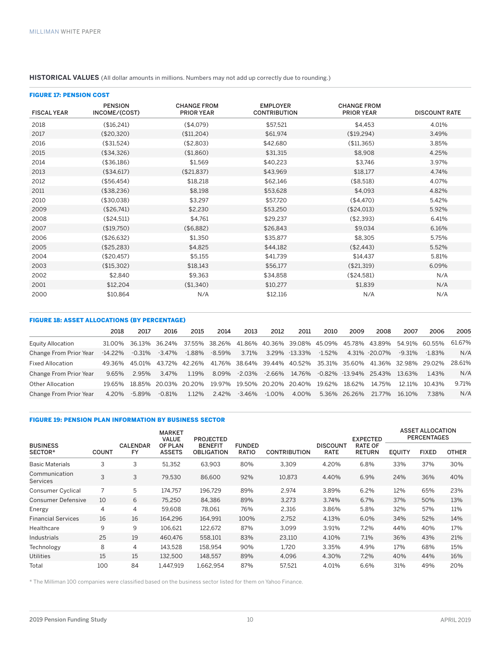### **HISTORICAL VALUES** (All dollar amounts in millions. Numbers may not add up correctly due to rounding.)

| <b>FIGURE 17: PENSION COST</b> |                                 |                                         |                                        |                                         |                      |
|--------------------------------|---------------------------------|-----------------------------------------|----------------------------------------|-----------------------------------------|----------------------|
| <b>FISCAL YEAR</b>             | <b>PENSION</b><br>INCOME/(COST) | <b>CHANGE FROM</b><br><b>PRIOR YEAR</b> | <b>EMPLOYER</b><br><b>CONTRIBUTION</b> | <b>CHANGE FROM</b><br><b>PRIOR YEAR</b> | <b>DISCOUNT RATE</b> |
| 2018                           | (\$16,241)                      | (\$4,079)                               | \$57,521                               | \$4,453                                 | 4.01%                |
| 2017                           | (\$20,320)                      | \$11,204)                               | \$61,974                               | (\$19,294)                              | 3.49%                |
| 2016                           | (\$31,524)                      | (\$2,803)                               | \$42,680                               | (\$11,365)                              | 3.85%                |
| 2015                           | (\$34,326)                      | (\$1,860)                               | \$31,315                               | \$8,908                                 | 4.25%                |
| 2014                           | (\$36,186)                      | \$1,569                                 | \$40,223                               | \$3,746                                 | 3.97%                |
| 2013                           | (\$34,617)                      | (\$21,837)                              | \$43,969                               | \$18,177                                | 4.74%                |
| 2012                           | (\$56,454)                      | \$18,218                                | \$62,146                               | (\$8,518)                               | 4.07%                |
| 2011                           | (\$38,236)                      | \$8,198                                 | \$53,628                               | \$4,093                                 | 4.82%                |
| 2010                           | (\$30,038)                      | \$3,297                                 | \$57,720                               | (\$4,470)                               | 5.42%                |
| 2009                           | (\$26,741)                      | \$2,230                                 | \$53,250                               | (\$24,013)                              | 5.92%                |
| 2008                           | (\$24,511)                      | \$4,761                                 | \$29,237                               | (\$2,393)                               | 6.41%                |
| 2007                           | (\$19,750)                      | (\$6,882)                               | \$26,843                               | \$9,034                                 | 6.16%                |
| 2006                           | (\$26,632)                      | \$1,350                                 | \$35,877                               | \$8,305                                 | 5.75%                |
| 2005                           | (\$25,283)                      | \$4,825                                 | \$44,182                               | (\$2,443)                               | 5.52%                |
| 2004                           | (\$20,457)                      | \$5,155                                 | \$41,739                               | \$14,437                                | 5.81%                |
| 2003                           | (\$15,302)                      | \$18,143                                | \$56,177                               | (\$21,319)                              | 6.09%                |
| 2002                           | \$2,840                         | \$9,363                                 | \$34,858                               | (\$24,581)                              | N/A                  |
| 2001                           | \$12,204                        | (\$1,340)                               | \$10,277                               | \$1,839                                 | N/A                  |
| 2000                           | \$10,864                        | N/A                                     | \$12,116                               | N/A                                     | N/A                  |

### FIGURE 18: ASSET ALLOCATIONS (BY PERCENTAGE)

|                         | 2018       | 2017   | 2016                                                                  | 2015    | 2014          | 2013      | 2012      | 2011          | 2010      | 2009         | 2008                                                                                       | 2007      | 2006          | 2005   |
|-------------------------|------------|--------|-----------------------------------------------------------------------|---------|---------------|-----------|-----------|---------------|-----------|--------------|--------------------------------------------------------------------------------------------|-----------|---------------|--------|
| Equity Allocation       |            |        |                                                                       |         |               |           |           |               |           |              | 31.00% 36.13% 36.24% 37.55% 38.26% 41.86% 40.36% 39.08% 45.09% 45.78% 43.89% 54.91% 60.55% |           |               | 61.67% |
| Change From Prior Year  | $-14.22\%$ | -0.31% | -3.47%                                                                |         | -1.88% -8.59% | 3.71%     |           | 3.29% -13.33% | $-1.52\%$ |              | 4.31% -20.07%                                                                              | $-9.31\%$ | $-183%$       | N/A    |
| <b>Fixed Allocation</b> | 49.36%     |        |                                                                       |         |               |           |           |               |           |              | 45.01% 43.72% 42.26% 41.76% 38.64% 39.44% 40.52% 35.31% 35.60% 41.36% 32.98% 29.02%        |           |               | 28.61% |
| Change From Prior Year  | 9.65%      | 295%   | 3.47%                                                                 | 1 1 9 % | 8.09%         | $-2.03\%$ | $-2.66\%$ | 14.76%        |           |              | $-0.82\% -13.94\% -25.43\%$                                                                | 13 63%    | 143%          | N/A    |
| Other Allocation        |            |        | 19.65% 18.85% 20.03% 20.20% 19.97% 19.50% 20.20% 20.40% 19.62% 18.62% |         |               |           |           |               |           |              | 14.75%                                                                                     |           | 12 11% 10 43% | 9.71%  |
| Change From Prior Year  | 4.20%      | -5.89% | $-0.81\%$                                                             | 1.12%   | 2.42%         | -3.46%    | $-1.00\%$ | 4.00%         |           | 5.36% 26.26% | 21.77%                                                                                     | 16.10%    | 738%          | N/A    |

#### FIGURE 19: PENSION PLAN INFORMATION BY BUSINESS SECTOR

|                            |       |                              | <b>MARKET</b><br><b>VALUE</b>   | <b>PROJECTED</b>                    |                               |                     |                                | <b>EXPECTED</b>          | <b>ASSET ALLOCATION</b><br><b>PERCENTAGES</b> |              |              |
|----------------------------|-------|------------------------------|---------------------------------|-------------------------------------|-------------------------------|---------------------|--------------------------------|--------------------------|-----------------------------------------------|--------------|--------------|
| <b>BUSINESS</b><br>SECTOR* | COUNT | <b>CALENDAR</b><br><b>FY</b> | <b>OF PLAN</b><br><b>ASSETS</b> | <b>BENEFIT</b><br><b>OBLIGATION</b> | <b>FUNDED</b><br><b>RATIO</b> | <b>CONTRIBUTION</b> | <b>DISCOUNT</b><br><b>RATE</b> | RATE OF<br><b>RETURN</b> | <b>EQUITY</b>                                 | <b>FIXED</b> | <b>OTHER</b> |
| <b>Basic Materials</b>     | 3     | 3                            | 51,352                          | 63,903                              | 80%                           | 3,309               | 4.20%                          | 6.8%                     | 33%                                           | 37%          | 30%          |
| Communication<br>Services  | 3     | 3                            | 79.530                          | 86,600                              | 92%                           | 10,873              | 4.40%                          | 6.9%                     | 24%                                           | 36%          | 40%          |
| <b>Consumer Cyclical</b>   | 7     | 5                            | 174.757                         | 196.729                             | 89%                           | 2,974               | 3.89%                          | 6.2%                     | 12%                                           | 65%          | 23%          |
| Consumer Defensive         | 10    | 6                            | 75.250                          | 84.386                              | 89%                           | 3.273               | 3.74%                          | 6.7%                     | 37%                                           | 50%          | 13%          |
| Energy                     | 4     | 4                            | 59.608                          | 78,061                              | 76%                           | 2,316               | 3.86%                          | 5.8%                     | 32%                                           | 57%          | 11%          |
| <b>Financial Services</b>  | 16    | 16                           | 164.296                         | 164,991                             | 100%                          | 2,752               | 4.13%                          | 6.0%                     | 34%                                           | 52%          | 14%          |
| Healthcare                 | 9     | 9                            | 106.621                         | 122,672                             | 87%                           | 3.099               | 3.91%                          | 7.2%                     | 44%                                           | 40%          | 17%          |
| Industrials                | 25    | 19                           | 460.476                         | 558,101                             | 83%                           | 23,110              | 4.10%                          | 7.1%                     | 36%                                           | 43%          | 21%          |
| Technology                 | 8     | 4                            | 143.528                         | 158,954                             | 90%                           | 1.720               | 3.35%                          | 4.9%                     | 17%                                           | 68%          | 15%          |
| Utilities                  | 15    | 15                           | 132,500                         | 148,557                             | 89%                           | 4,096               | 4.30%                          | 7.2%                     | 40%                                           | 44%          | 16%          |
| Total                      | 100   | 84                           | 1.447.919                       | 1.662.954                           | 87%                           | 57,521              | 4.01%                          | 6.6%                     | 31%                                           | 49%          | 20%          |

\* The Milliman 100 companies were classified based on the business sector listed for them on Yahoo Finance.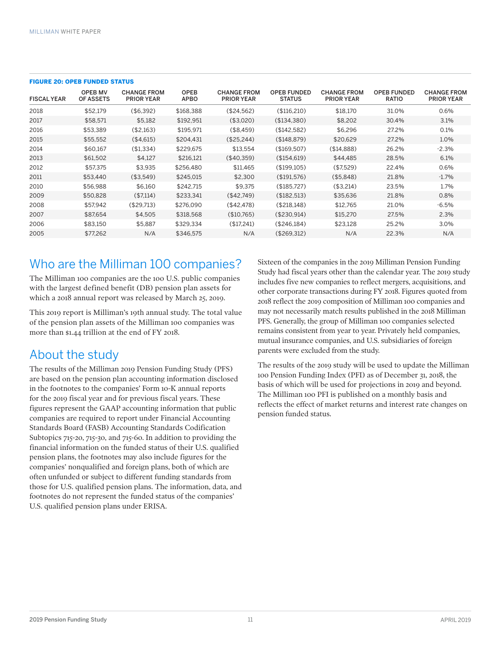| <b>FISCAL YEAR</b> | <b>OPEB MV</b><br>OF ASSETS | <b>CHANGE FROM</b><br><b>PRIOR YEAR</b> | <b>OPEB</b><br><b>APBO</b> | <b>CHANGE FROM</b><br><b>PRIOR YEAR</b> | <b>OPER FUNDED</b><br><b>STATUS</b> | <b>CHANGE FROM</b><br><b>PRIOR YEAR</b> | <b>OPEB FUNDED</b><br><b>RATIO</b> | <b>CHANGE FROM</b><br><b>PRIOR YEAR</b> |
|--------------------|-----------------------------|-----------------------------------------|----------------------------|-----------------------------------------|-------------------------------------|-----------------------------------------|------------------------------------|-----------------------------------------|
| 2018               | \$52.179                    | $($ \$6.392)                            | \$168.388                  | (\$24.562)                              | (\$116,210)                         | \$18.170                                | 31.0%                              | 0.6%                                    |
| 2017               | \$58.571                    | \$5.182                                 | \$192.951                  | (\$3,020)                               | (\$134.380)                         | \$8.202                                 | 30.4%                              | 3.1%                                    |
| 2016               | \$53.389                    | (\$2.163)                               | \$195.971                  | (\$8.459)                               | (\$142,582)                         | \$6.296                                 | 27.2%                              | 0.1%                                    |
| 2015               | \$55.552                    | (\$4.615)                               | \$204.431                  | (\$25.244)                              | (\$148.879)                         | \$20,629                                | 27.2%                              | 1.0%                                    |
| 2014               | \$60.167                    | (\$1,334)                               | \$229.675                  | \$13.554                                | (\$169.507)                         | (\$14.888)                              | 26.2%                              | $-2.3%$                                 |
| 2013               | \$61.502                    | \$4.127                                 | \$216.121                  | (\$40.359)                              | (\$154.619)                         | \$44.485                                | 28.5%                              | 6.1%                                    |
| 2012               | \$57.375                    | \$3.935                                 | \$256.480                  | \$11,465                                | (\$199.105)                         | (\$7.529)                               | 22.4%                              | 0.6%                                    |
| 2011               | \$53.440                    | (\$3.549)                               | \$245.015                  | \$2.300                                 | (\$191.576)                         | (\$5.848)                               | 21.8%                              | $-1.7\%$                                |
| 2010               | \$56.988                    | \$6.160                                 | \$242.715                  | \$9,375                                 | (\$185,727)                         | (\$3,214)                               | 23.5%                              | 1.7%                                    |
| 2009               | \$50,828                    | (\$7.114)                               | \$233.341                  | (\$42.749)                              | (\$182,513)                         | \$35,636                                | 21.8%                              | $0.8\%$                                 |
| 2008               | \$57.942                    | (\$29.713)                              | \$276.090                  | (\$42.478)                              | ( \$218.148)                        | \$12.765                                | 21.0%                              | $-6.5%$                                 |
| 2007               | \$87.654                    | \$4.505                                 | \$318,568                  | (\$10.765)                              | (\$230,914)                         | \$15,270                                | 27.5%                              | 2.3%                                    |
| 2006               | \$83.150                    | \$5.887                                 | \$329.334                  | (\$17,241)                              | (\$246.184)                         | \$23.128                                | 25.2%                              | 3.0%                                    |
| 2005               | \$77.262                    | N/A                                     | \$346.575                  | N/A                                     | (\$269.312)                         | N/A                                     | 22.3%                              | N/A                                     |

#### FIGURE 20: OPEB FUNDED STATUS

### Who are the Milliman 100 companies?

The Milliman 100 companies are the 100 U.S. public companies with the largest defined benefit (DB) pension plan assets for which a 2018 annual report was released by March 25, 2019.

This 2019 report is Milliman's 19th annual study. The total value of the pension plan assets of the Milliman 100 companies was more than \$1.44 trillion at the end of FY 2018.

### About the study

The results of the Milliman 2019 Pension Funding Study (PFS) are based on the pension plan accounting information disclosed in the footnotes to the companies' Form 10-K annual reports for the 2019 fiscal year and for previous fiscal years. These figures represent the GAAP accounting information that public companies are required to report under Financial Accounting Standards Board (FASB) Accounting Standards Codification Subtopics 715-20, 715-30, and 715-60. In addition to providing the financial information on the funded status of their U.S. qualified pension plans, the footnotes may also include figures for the companies' nonqualified and foreign plans, both of which are often unfunded or subject to different funding standards from those for U.S. qualified pension plans. The information, data, and footnotes do not represent the funded status of the companies' U.S. qualified pension plans under ERISA.

Sixteen of the companies in the 2019 Milliman Pension Funding Study had fiscal years other than the calendar year. The 2019 study includes five new companies to reflect mergers, acquisitions, and other corporate transactions during FY 2018. Figures quoted from 2018 reflect the 2019 composition of Milliman 100 companies and may not necessarily match results published in the 2018 Milliman PFS. Generally, the group of Milliman 100 companies selected remains consistent from year to year. Privately held companies, mutual insurance companies, and U.S. subsidiaries of foreign parents were excluded from the study.

The results of the 2019 study will be used to update the Milliman 100 Pension Funding Index (PFI) as of December 31, 2018, the basis of which will be used for projections in 2019 and beyond. The Milliman 100 PFI is published on a monthly basis and reflects the effect of market returns and interest rate changes on pension funded status.